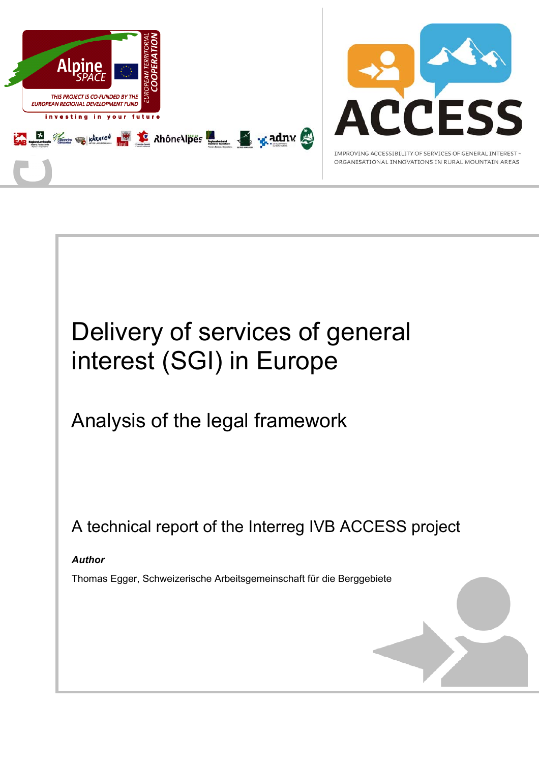

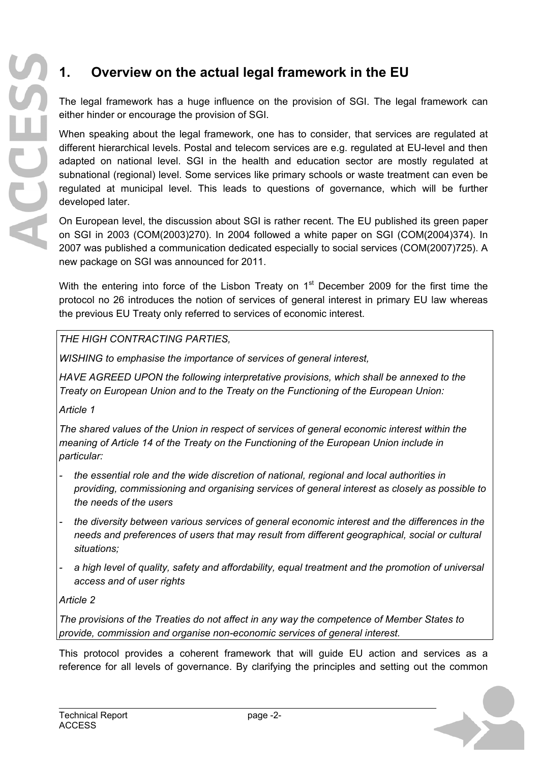# **1. Overview on the actual legal framework in the EU**

The legal framework has a huge influence on the provision of SGI. The legal framework can either hinder or encourage the provision of SGI.

When speaking about the legal framework, one has to consider, that services are regulated at different hierarchical levels. Postal and telecom services are e.g. regulated at EU-level and then adapted on national level. SGI in the health and education sector are mostly regulated at subnational (regional) level. Some services like primary schools or waste treatment can even be regulated at municipal level. This leads to questions of governance, which will be further developed later.

On European level, the discussion about SGI is rather recent. The EU published its green paper on SGI in 2003 (COM(2003)270). In 2004 followed a white paper on SGI (COM(2004)374). In 2007 was published a communication dedicated especially to social services (COM(2007)725). A new package on SGI was announced for 2011.

With the entering into force of the Lisbon Treaty on  $1<sup>st</sup>$  December 2009 for the first time the protocol no 26 introduces the notion of services of general interest in primary EU law whereas the previous EU Treaty only referred to services of economic interest.

### *THE HIGH CONTRACTING PARTIES,*

*WISHING to emphasise the importance of services of general interest,* 

*HAVE AGREED UPON the following interpretative provisions, which shall be annexed to the Treaty on European Union and to the Treaty on the Functioning of the European Union:* 

*Article 1* 

*The shared values of the Union in respect of services of general economic interest within the meaning of Article 14 of the Treaty on the Functioning of the European Union include in particular:* 

- *the essential role and the wide discretion of national, regional and local authorities in providing, commissioning and organising services of general interest as closely as possible to the needs of the users*
- *the diversity between various services of general economic interest and the differences in the needs and preferences of users that may result from different geographical, social or cultural situations;*
- *a high level of quality, safety and affordability, equal treatment and the promotion of universal access and of user rights*

*Article 2* 

*The provisions of the Treaties do not affect in any way the competence of Member States to provide, commission and organise non-economic services of general interest.* 

This protocol provides a coherent framework that will guide EU action and services as a reference for all levels of governance. By clarifying the principles and setting out the common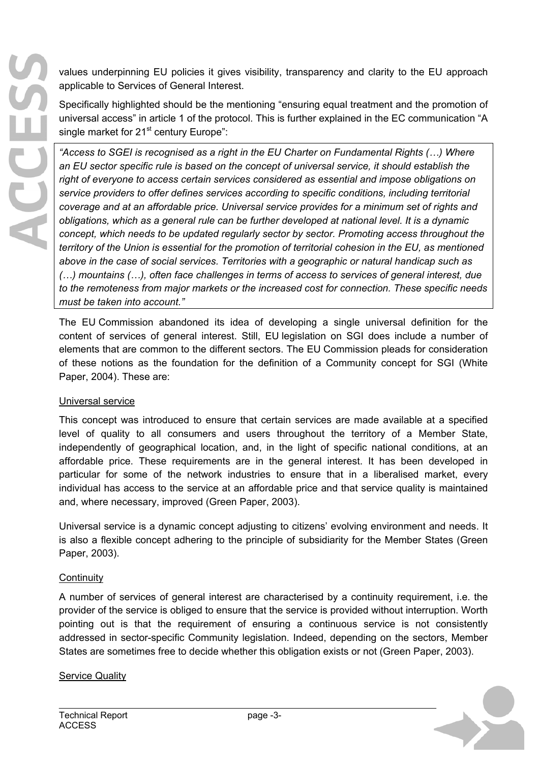values underpinning EU policies it gives visibility, transparency and clarity to the EU approach applicable to Services of General Interest.

Specifically highlighted should be the mentioning "ensuring equal treatment and the promotion of universal access" in article 1 of the protocol. This is further explained in the EC communication "A single market for 21<sup>st</sup> century Europe":

*"Access to SGEI is recognised as a right in the EU Charter on Fundamental Rights (…) Where an EU sector specific rule is based on the concept of universal service, it should establish the right of everyone to access certain services considered as essential and impose obligations on service providers to offer defines services according to specific conditions, including territorial coverage and at an affordable price. Universal service provides for a minimum set of rights and obligations, which as a general rule can be further developed at national level. It is a dynamic concept, which needs to be updated regularly sector by sector. Promoting access throughout the territory of the Union is essential for the promotion of territorial cohesion in the EU, as mentioned above in the case of social services. Territories with a geographic or natural handicap such as (…) mountains (…), often face challenges in terms of access to services of general interest, due to the remoteness from major markets or the increased cost for connection. These specific needs must be taken into account."* 

The EU Commission abandoned its idea of developing a single universal definition for the content of services of general interest. Still, EU legislation on SGI does include a number of elements that are common to the different sectors. The EU Commission pleads for consideration of these notions as the foundation for the definition of a Community concept for SGI (White Paper, 2004). These are:

#### Universal service

This concept was introduced to ensure that certain services are made available at a specified level of quality to all consumers and users throughout the territory of a Member State, independently of geographical location, and, in the light of specific national conditions, at an affordable price. These requirements are in the general interest. It has been developed in particular for some of the network industries to ensure that in a liberalised market, every individual has access to the service at an affordable price and that service quality is maintained and, where necessary, improved (Green Paper, 2003).

Universal service is a dynamic concept adjusting to citizens' evolving environment and needs. It is also a flexible concept adhering to the principle of subsidiarity for the Member States (Green Paper, 2003).

#### **Continuity**

A number of services of general interest are characterised by a continuity requirement, i.e. the provider of the service is obliged to ensure that the service is provided without interruption. Worth pointing out is that the requirement of ensuring a continuous service is not consistently addressed in sector-specific Community legislation. Indeed, depending on the sectors, Member States are sometimes free to decide whether this obligation exists or not (Green Paper, 2003).

#### **Service Quality**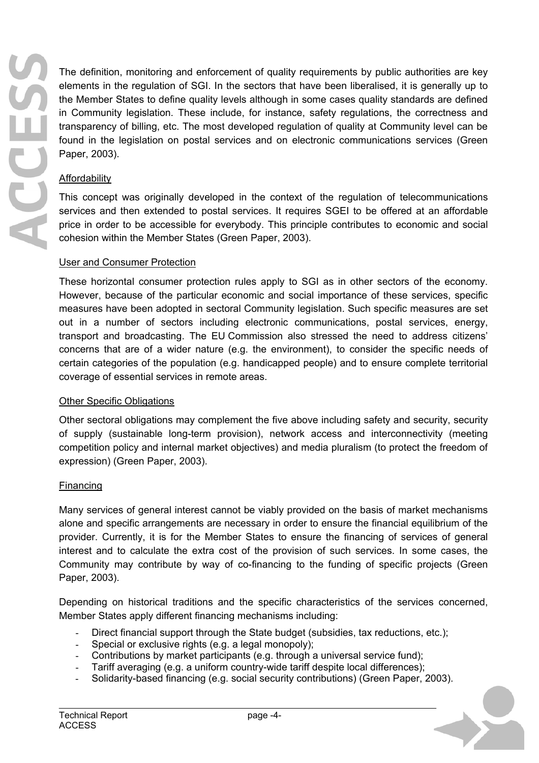The definition, monitoring and enforcement of quality requirements by public authorities are key elements in the regulation of SGI. In the sectors that have been liberalised, it is generally up to the Member States to define quality levels although in some cases quality standards are defined in Community legislation. These include, for instance, safety regulations, the correctness and transparency of billing, etc. The most developed regulation of quality at Community level can be found in the legislation on postal services and on electronic communications services (Green Paper, 2003).

## Affordability

This concept was originally developed in the context of the regulation of telecommunications services and then extended to postal services. It requires SGEI to be offered at an affordable price in order to be accessible for everybody. This principle contributes to economic and social cohesion within the Member States (Green Paper, 2003).

### User and Consumer Protection

These horizontal consumer protection rules apply to SGI as in other sectors of the economy. However, because of the particular economic and social importance of these services, specific measures have been adopted in sectoral Community legislation. Such specific measures are set out in a number of sectors including electronic communications, postal services, energy, transport and broadcasting. The EU Commission also stressed the need to address citizens' concerns that are of a wider nature (e.g. the environment), to consider the specific needs of certain categories of the population (e.g. handicapped people) and to ensure complete territorial coverage of essential services in remote areas.

#### Other Specific Obligations

Other sectoral obligations may complement the five above including safety and security, security of supply (sustainable long-term provision), network access and interconnectivity (meeting competition policy and internal market objectives) and media pluralism (to protect the freedom of expression) (Green Paper, 2003).

#### Financing

Many services of general interest cannot be viably provided on the basis of market mechanisms alone and specific arrangements are necessary in order to ensure the financial equilibrium of the provider. Currently, it is for the Member States to ensure the financing of services of general interest and to calculate the extra cost of the provision of such services. In some cases, the Community may contribute by way of co-financing to the funding of specific projects (Green Paper, 2003).

Depending on historical traditions and the specific characteristics of the services concerned, Member States apply different financing mechanisms including:

- Direct financial support through the State budget (subsidies, tax reductions, etc.);
- Special or exclusive rights (e.g. a legal monopoly);
- Contributions by market participants (e.g. through a universal service fund);
- Tariff averaging (e.g. a uniform country-wide tariff despite local differences);
- Solidarity-based financing (e.g. social security contributions) (Green Paper, 2003).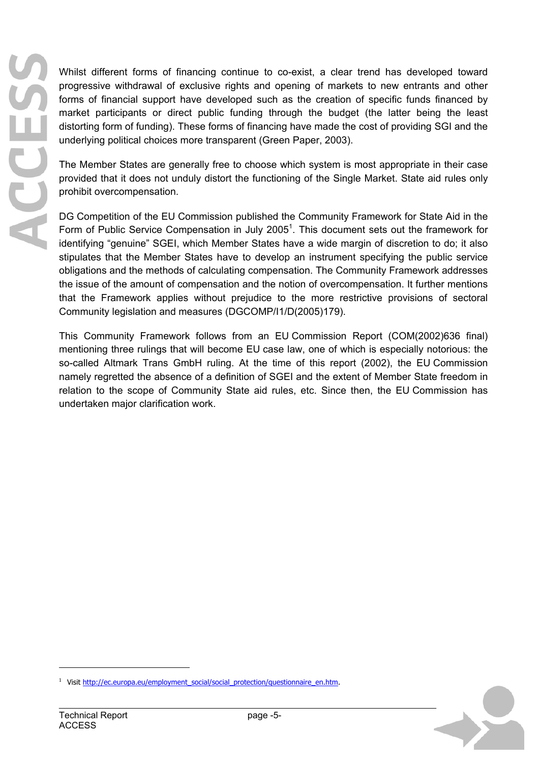Whilst different forms of financing continue to co-exist, a clear trend has developed toward progressive withdrawal of exclusive rights and opening of markets to new entrants and other forms of financial support have developed such as the creation of specific funds financed by market participants or direct public funding through the budget (the latter being the least distorting form of funding). These forms of financing have made the cost of providing SGI and the underlying political choices more transparent (Green Paper, 2003).

The Member States are generally free to choose which system is most appropriate in their case provided that it does not unduly distort the functioning of the Single Market. State aid rules only prohibit overcompensation.

DG Competition of the EU Commission published the Community Framework for State Aid in the Form of Public Service Compensation in July 2005<sup>1</sup>. This document sets out the framework for identifying "genuine" SGEI, which Member States have a wide margin of discretion to do; it also stipulates that the Member States have to develop an instrument specifying the public service obligations and the methods of calculating compensation. The Community Framework addresses the issue of the amount of compensation and the notion of overcompensation. It further mentions that the Framework applies without prejudice to the more restrictive provisions of sectoral Community legislation and measures (DGCOMP/I1/D(2005)179).

This Community Framework follows from an EU Commission Report (COM(2002)636 final) mentioning three rulings that will become EU case law, one of which is especially notorious: the so-called Altmark Trans GmbH ruling. At the time of this report (2002), the EU Commission namely regretted the absence of a definition of SGEI and the extent of Member State freedom in relation to the scope of Community State aid rules, etc. Since then, the EU Commission has undertaken major clarification work.



<sup>&</sup>lt;sup>1</sup> Visit http://ec.europa.eu/employment\_social/social\_protection/questionnaire\_en.htm.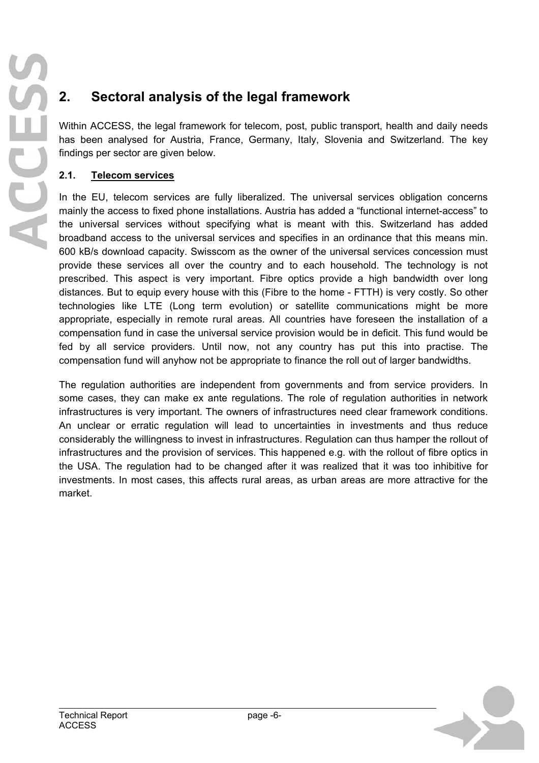# **2. Sectoral analysis of the legal framework**

Within ACCESS, the legal framework for telecom, post, public transport, health and daily needs has been analysed for Austria, France, Germany, Italy, Slovenia and Switzerland. The key findings per sector are given below.

## **2.1. Telecom services**

In the EU, telecom services are fully liberalized. The universal services obligation concerns mainly the access to fixed phone installations. Austria has added a "functional internet-access" to the universal services without specifying what is meant with this. Switzerland has added broadband access to the universal services and specifies in an ordinance that this means min. 600 kB/s download capacity. Swisscom as the owner of the universal services concession must provide these services all over the country and to each household. The technology is not prescribed. This aspect is very important. Fibre optics provide a high bandwidth over long distances. But to equip every house with this (Fibre to the home - FTTH) is very costly. So other technologies like LTE (Long term evolution) or satellite communications might be more appropriate, especially in remote rural areas. All countries have foreseen the installation of a compensation fund in case the universal service provision would be in deficit. This fund would be fed by all service providers. Until now, not any country has put this into practise. The compensation fund will anyhow not be appropriate to finance the roll out of larger bandwidths.

The regulation authorities are independent from governments and from service providers. In some cases, they can make ex ante regulations. The role of regulation authorities in network infrastructures is very important. The owners of infrastructures need clear framework conditions. An unclear or erratic regulation will lead to uncertainties in investments and thus reduce considerably the willingness to invest in infrastructures. Regulation can thus hamper the rollout of infrastructures and the provision of services. This happened e.g. with the rollout of fibre optics in the USA. The regulation had to be changed after it was realized that it was too inhibitive for investments. In most cases, this affects rural areas, as urban areas are more attractive for the market.

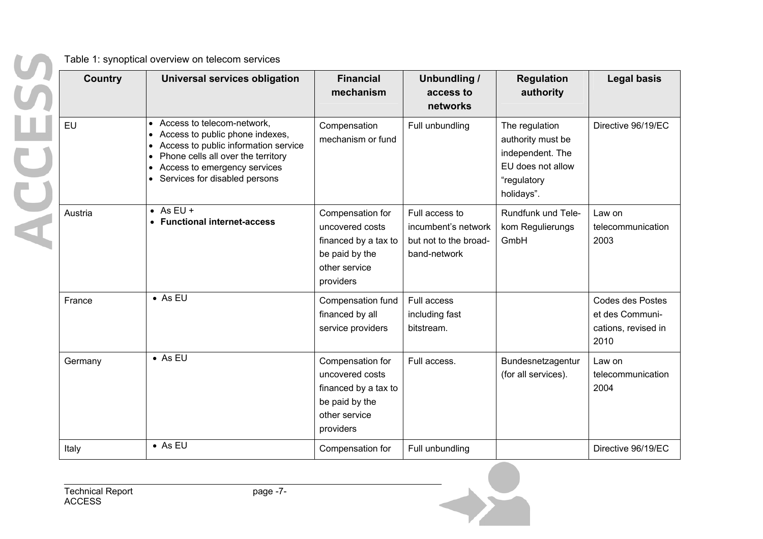| HU | <b>Country</b> | Universal services obligation                                                                                                                                                                                | <b>Financial</b><br>mechanism                                                                               | Unbundling /<br>access to<br>networks                                          | <b>Regulation</b><br>authority                                                                            | <b>Legal basis</b>                                                        |
|----|----------------|--------------------------------------------------------------------------------------------------------------------------------------------------------------------------------------------------------------|-------------------------------------------------------------------------------------------------------------|--------------------------------------------------------------------------------|-----------------------------------------------------------------------------------------------------------|---------------------------------------------------------------------------|
|    | EU             | Access to telecom-network,<br>Access to public phone indexes,<br>Access to public information service<br>Phone cells all over the territory<br>Access to emergency services<br>Services for disabled persons | Compensation<br>mechanism or fund                                                                           | Full unbundling                                                                | The regulation<br>authority must be<br>independent. The<br>EU does not allow<br>"regulatory<br>holidays". | Directive 96/19/EC                                                        |
|    | Austria        | $\bullet$ As EU +<br>• Functional internet-access                                                                                                                                                            | Compensation for<br>uncovered costs<br>financed by a tax to<br>be paid by the<br>other service<br>providers | Full access to<br>incumbent's network<br>but not to the broad-<br>band-network | Rundfunk und Tele-<br>kom Regulierungs<br>GmbH                                                            | Law on<br>telecommunication<br>2003                                       |
|    | France         | $\bullet$ As EU                                                                                                                                                                                              | Compensation fund<br>financed by all<br>service providers                                                   | Full access<br>including fast<br>bitstream.                                    |                                                                                                           | <b>Codes des Postes</b><br>et des Communi-<br>cations, revised in<br>2010 |
|    | Germany        | $\bullet$ As EU                                                                                                                                                                                              | Compensation for<br>uncovered costs<br>financed by a tax to<br>be paid by the<br>other service<br>providers | Full access.                                                                   | Bundesnetzagentur<br>(for all services).                                                                  | Law on<br>telecommunication<br>2004                                       |
|    | Italy          | $\bullet$ As EU                                                                                                                                                                                              | Compensation for                                                                                            | Full unbundling                                                                |                                                                                                           | Directive 96/19/EC                                                        |

Table 1: synoptical overview on telecom services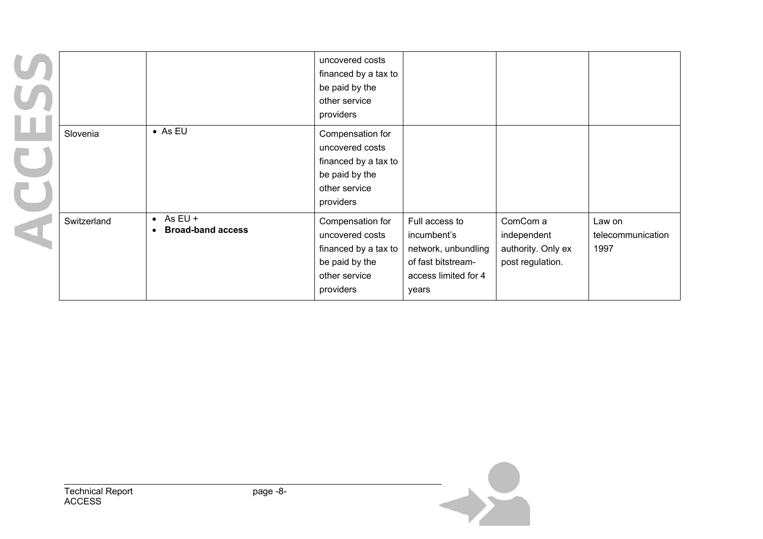|             |                                                            | uncovered costs<br>financed by a tax to<br>be paid by the<br>other service<br>providers                     |                                                                                                             |                                                                   |                                     |
|-------------|------------------------------------------------------------|-------------------------------------------------------------------------------------------------------------|-------------------------------------------------------------------------------------------------------------|-------------------------------------------------------------------|-------------------------------------|
| Slovenia    | $\bullet$ As EU                                            | Compensation for<br>uncovered costs<br>financed by a tax to<br>be paid by the<br>other service<br>providers |                                                                                                             |                                                                   |                                     |
| Switzerland | $\bullet$ As EU +<br><b>Broad-band access</b><br>$\bullet$ | Compensation for<br>uncovered costs<br>financed by a tax to<br>be paid by the<br>other service<br>providers | Full access to<br>incumbent's<br>network, unbundling<br>of fast bitstream-<br>access limited for 4<br>years | ComCom a<br>independent<br>authority. Only ex<br>post regulation. | Law on<br>telecommunication<br>1997 |

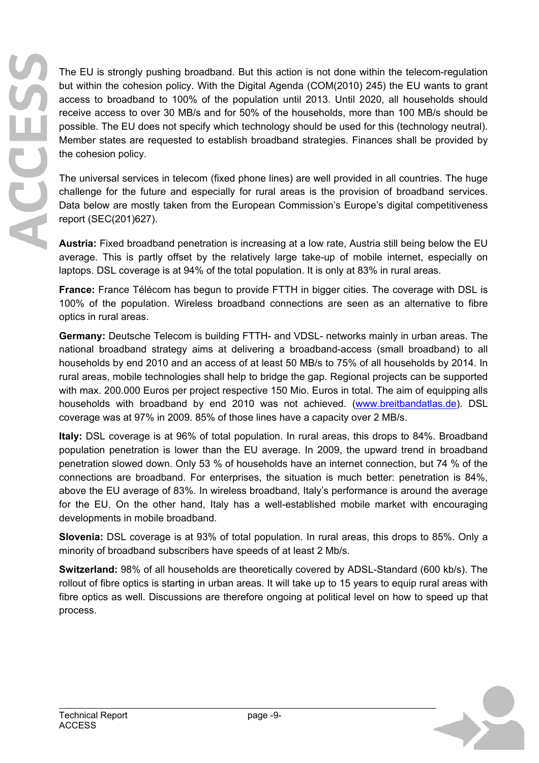The EU is strongly pushing broadband. But this action is not done within the telecom-regulation but within the cohesion policy. With the Digital Agenda (COM(2010) 245) the EU wants to grant access to broadband to 100% of the population until 2013. Until 2020, all households should receive access to over 30 MB/s and for 50% of the households, more than 100 MB/s should be possible. The EU does not specify which technology should be used for this (technology neutral). Member states are requested to establish broadband strategies. Finances shall be provided by the cohesion policy.

The universal services in telecom (fixed phone lines) are well provided in all countries. The huge challenge for the future and especially for rural areas is the provision of broadband services. Data below are mostly taken from the European Commission's Europe's digital competitiveness report (SEC(201)627).

**Austria:** Fixed broadband penetration is increasing at a low rate, Austria still being below the EU average. This is partly offset by the relatively large take-up of mobile internet, especially on laptops. DSL coverage is at 94% of the total population. It is only at 83% in rural areas.

**France:** France Télécom has begun to provide FTTH in bigger cities. The coverage with DSL is 100% of the population. Wireless broadband connections are seen as an alternative to fibre optics in rural areas.

**Germany:** Deutsche Telecom is building FTTH- and VDSL- networks mainly in urban areas. The national broadband strategy aims at delivering a broadband-access (small broadband) to all households by end 2010 and an access of at least 50 MB/s to 75% of all households by 2014. In rural areas, mobile technologies shall help to bridge the gap. Regional projects can be supported with max. 200.000 Euros per project respective 150 Mio. Euros in total. The aim of equipping alls households with broadband by end 2010 was not achieved. (www.breitbandatlas.de). DSL coverage was at 97% in 2009. 85% of those lines have a capacity over 2 MB/s.

**Italy:** DSL coverage is at 96% of total population. In rural areas, this drops to 84%. Broadband population penetration is lower than the EU average. In 2009, the upward trend in broadband penetration slowed down. Only 53 % of households have an internet connection, but 74 % of the connections are broadband. For enterprises, the situation is much better: penetration is 84%, above the EU average of 83%. In wireless broadband, Italy's performance is around the average for the EU. On the other hand, Italy has a well-established mobile market with encouraging developments in mobile broadband.

**Slovenia:** DSL coverage is at 93% of total population. In rural areas, this drops to 85%. Only a minority of broadband subscribers have speeds of at least 2 Mb/s.

**Switzerland:** 98% of all households are theoretically covered by ADSL-Standard (600 kb/s). The rollout of fibre optics is starting in urban areas. It will take up to 15 years to equip rural areas with fibre optics as well. Discussions are therefore ongoing at political level on how to speed up that process.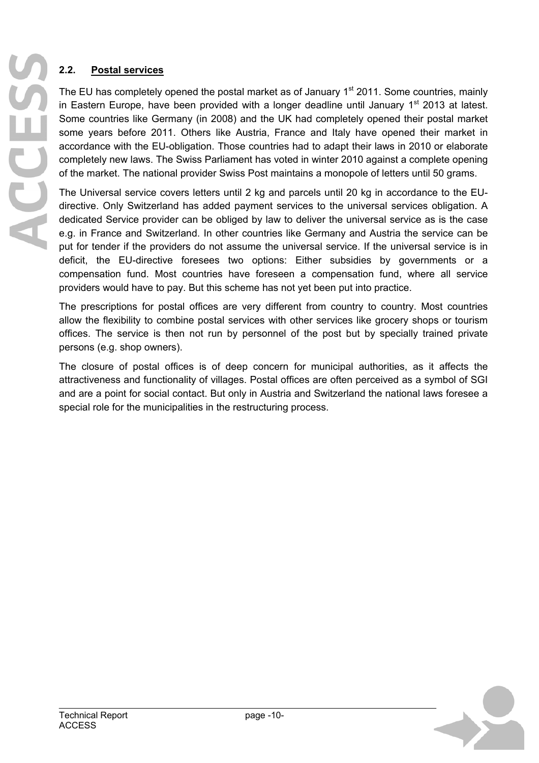## **2.2. Postal services**

The EU has completely opened the postal market as of January  $1<sup>st</sup>$  2011. Some countries, mainly in Eastern Europe, have been provided with a longer deadline until January  $1<sup>st</sup>$  2013 at latest. Some countries like Germany (in 2008) and the UK had completely opened their postal market some years before 2011. Others like Austria, France and Italy have opened their market in accordance with the EU-obligation. Those countries had to adapt their laws in 2010 or elaborate completely new laws. The Swiss Parliament has voted in winter 2010 against a complete opening of the market. The national provider Swiss Post maintains a monopole of letters until 50 grams.

The Universal service covers letters until 2 kg and parcels until 20 kg in accordance to the EUdirective. Only Switzerland has added payment services to the universal services obligation. A dedicated Service provider can be obliged by law to deliver the universal service as is the case e.g. in France and Switzerland. In other countries like Germany and Austria the service can be put for tender if the providers do not assume the universal service. If the universal service is in deficit, the EU-directive foresees two options: Either subsidies by governments or a compensation fund. Most countries have foreseen a compensation fund, where all service providers would have to pay. But this scheme has not yet been put into practice.

The prescriptions for postal offices are very different from country to country. Most countries allow the flexibility to combine postal services with other services like grocery shops or tourism offices. The service is then not run by personnel of the post but by specially trained private persons (e.g. shop owners).

The closure of postal offices is of deep concern for municipal authorities, as it affects the attractiveness and functionality of villages. Postal offices are often perceived as a symbol of SGI and are a point for social contact. But only in Austria and Switzerland the national laws foresee a special role for the municipalities in the restructuring process.

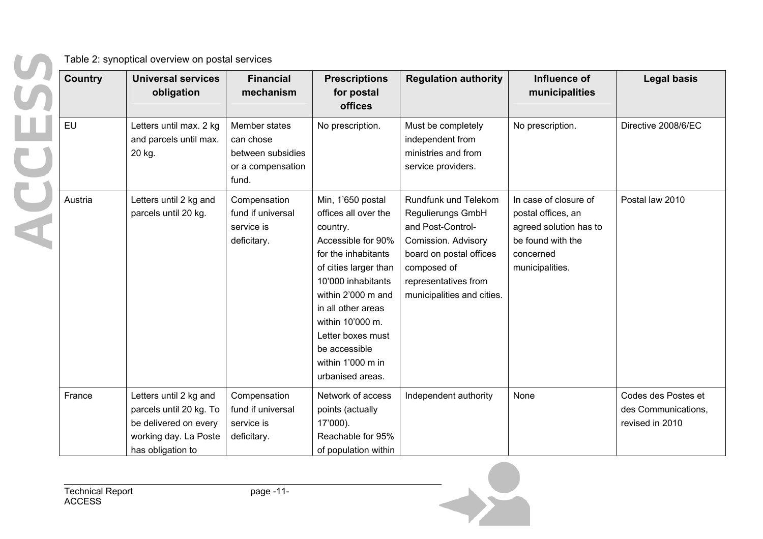| Country | <b>Universal services</b><br>obligation                                                                                  | <b>Financial</b><br>mechanism                                                 | <b>Prescriptions</b><br>for postal<br>offices                                                                                                                                                                                                                                                    | <b>Regulation authority</b>                                                                                                                                                           | Influence of<br>municipalities                                                                                             | <b>Legal basis</b>                                            |
|---------|--------------------------------------------------------------------------------------------------------------------------|-------------------------------------------------------------------------------|--------------------------------------------------------------------------------------------------------------------------------------------------------------------------------------------------------------------------------------------------------------------------------------------------|---------------------------------------------------------------------------------------------------------------------------------------------------------------------------------------|----------------------------------------------------------------------------------------------------------------------------|---------------------------------------------------------------|
| EU      | Letters until max. 2 kg<br>and parcels until max.<br>20 kg.                                                              | Member states<br>can chose<br>between subsidies<br>or a compensation<br>fund. | No prescription.                                                                                                                                                                                                                                                                                 | Must be completely<br>independent from<br>ministries and from<br>service providers.                                                                                                   | No prescription.                                                                                                           | Directive 2008/6/EC                                           |
| Austria | Letters until 2 kg and<br>parcels until 20 kg.                                                                           | Compensation<br>fund if universal<br>service is<br>deficitary.                | Min, 1'650 postal<br>offices all over the<br>country.<br>Accessible for 90%<br>for the inhabitants<br>of cities larger than<br>10'000 inhabitants<br>within 2'000 m and<br>in all other areas<br>within 10'000 m.<br>Letter boxes must<br>be accessible<br>within 1'000 m in<br>urbanised areas. | Rundfunk und Telekom<br>Regulierungs GmbH<br>and Post-Control-<br>Comission. Advisory<br>board on postal offices<br>composed of<br>representatives from<br>municipalities and cities. | In case of closure of<br>postal offices, an<br>agreed solution has to<br>be found with the<br>concerned<br>municipalities. | Postal law 2010                                               |
| France  | Letters until 2 kg and<br>parcels until 20 kg. To<br>be delivered on every<br>working day. La Poste<br>has obligation to | Compensation<br>fund if universal<br>service is<br>deficitary.                | Network of access<br>points (actually<br>17'000).<br>Reachable for 95%<br>of population within                                                                                                                                                                                                   | Independent authority                                                                                                                                                                 | None                                                                                                                       | Codes des Postes et<br>des Communications,<br>revised in 2010 |

Table 2: synoptical overview on postal services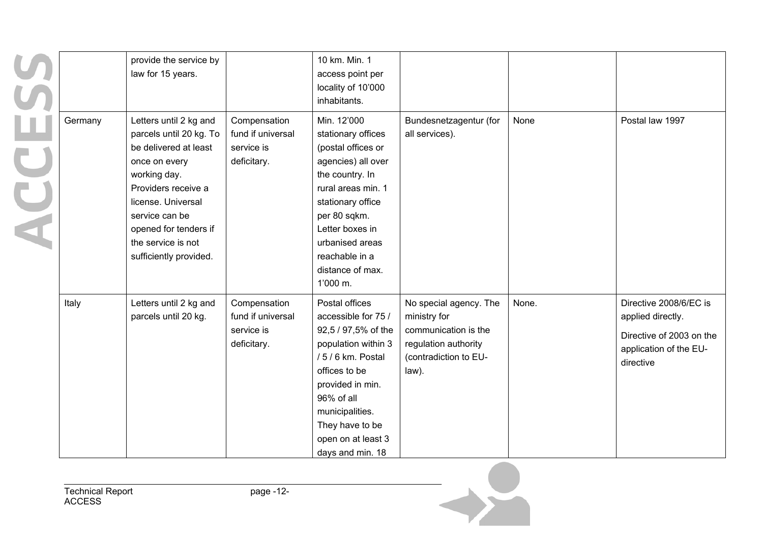|         | provide the service by<br>law for 15 years.                                                                                                                                                                                                         |                                                                | 10 km. Min. 1<br>access point per<br>locality of 10'000<br>inhabitants.                                                                                                                                                                             |                                                                                                                          |       |                                                                                                                |
|---------|-----------------------------------------------------------------------------------------------------------------------------------------------------------------------------------------------------------------------------------------------------|----------------------------------------------------------------|-----------------------------------------------------------------------------------------------------------------------------------------------------------------------------------------------------------------------------------------------------|--------------------------------------------------------------------------------------------------------------------------|-------|----------------------------------------------------------------------------------------------------------------|
| Germany | Letters until 2 kg and<br>parcels until 20 kg. To<br>be delivered at least<br>once on every<br>working day.<br>Providers receive a<br>license. Universal<br>service can be<br>opened for tenders if<br>the service is not<br>sufficiently provided. | Compensation<br>fund if universal<br>service is<br>deficitary. | Min. 12'000<br>stationary offices<br>(postal offices or<br>agencies) all over<br>the country. In<br>rural areas min. 1<br>stationary office<br>per 80 sqkm.<br>Letter boxes in<br>urbanised areas<br>reachable in a<br>distance of max.<br>1'000 m. | Bundesnetzagentur (for<br>all services).                                                                                 | None  | Postal law 1997                                                                                                |
| Italy   | Letters until 2 kg and<br>parcels until 20 kg.                                                                                                                                                                                                      | Compensation<br>fund if universal<br>service is<br>deficitary. | Postal offices<br>accessible for 75 /<br>92,5 / 97,5% of the<br>population within 3<br>/ 5 / 6 km. Postal<br>offices to be<br>provided in min.<br>96% of all<br>municipalities.<br>They have to be<br>open on at least 3<br>days and min. 18        | No special agency. The<br>ministry for<br>communication is the<br>regulation authority<br>(contradiction to EU-<br>law). | None. | Directive 2008/6/EC is<br>applied directly.<br>Directive of 2003 on the<br>application of the EU-<br>directive |

ſ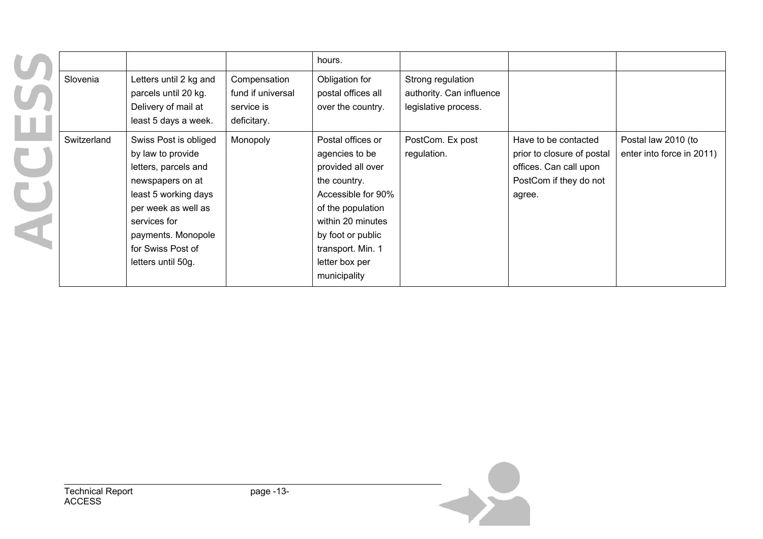|             |                                                                                                                                                                                                                        |                                                                | hours.                                                                                                                                                                                                               |                                                                       |                                                                                                                  |                                                  |
|-------------|------------------------------------------------------------------------------------------------------------------------------------------------------------------------------------------------------------------------|----------------------------------------------------------------|----------------------------------------------------------------------------------------------------------------------------------------------------------------------------------------------------------------------|-----------------------------------------------------------------------|------------------------------------------------------------------------------------------------------------------|--------------------------------------------------|
| Slovenia    | Letters until 2 kg and<br>parcels until 20 kg.<br>Delivery of mail at<br>least 5 days a week.                                                                                                                          | Compensation<br>fund if universal<br>service is<br>deficitary. | Obligation for<br>postal offices all<br>over the country.                                                                                                                                                            | Strong regulation<br>authority. Can influence<br>legislative process. |                                                                                                                  |                                                  |
| Switzerland | Swiss Post is obliged<br>by law to provide<br>letters, parcels and<br>newspapers on at<br>least 5 working days<br>per week as well as<br>services for<br>payments. Monopole<br>for Swiss Post of<br>letters until 50g. | Monopoly                                                       | Postal offices or<br>agencies to be<br>provided all over<br>the country.<br>Accessible for 90%<br>of the population<br>within 20 minutes<br>by foot or public<br>transport. Min. 1<br>letter box per<br>municipality | PostCom. Ex post<br>regulation.                                       | Have to be contacted<br>prior to closure of postal<br>offices. Can call upon<br>PostCom if they do not<br>agree. | Postal law 2010 (to<br>enter into force in 2011) |

 $\overline{\phantom{a}}$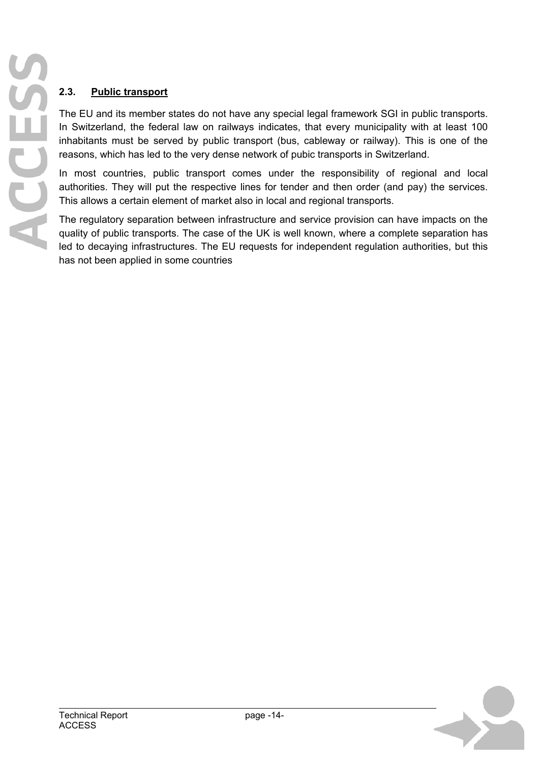## **2.3. Public transport**

The EU and its member states do not have any special legal framework SGI in public transports. In Switzerland, the federal law on railways indicates, that every municipality with at least 100 inhabitants must be served by public transport (bus, cableway or railway). This is one of the reasons, which has led to the very dense network of pubic transports in Switzerland.

In most countries, public transport comes under the responsibility of regional and local authorities. They will put the respective lines for tender and then order (and pay) the services. This allows a certain element of market also in local and regional transports.

The regulatory separation between infrastructure and service provision can have impacts on the quality of public transports. The case of the UK is well known, where a complete separation has led to decaying infrastructures. The EU requests for independent regulation authorities, but this has not been applied in some countries

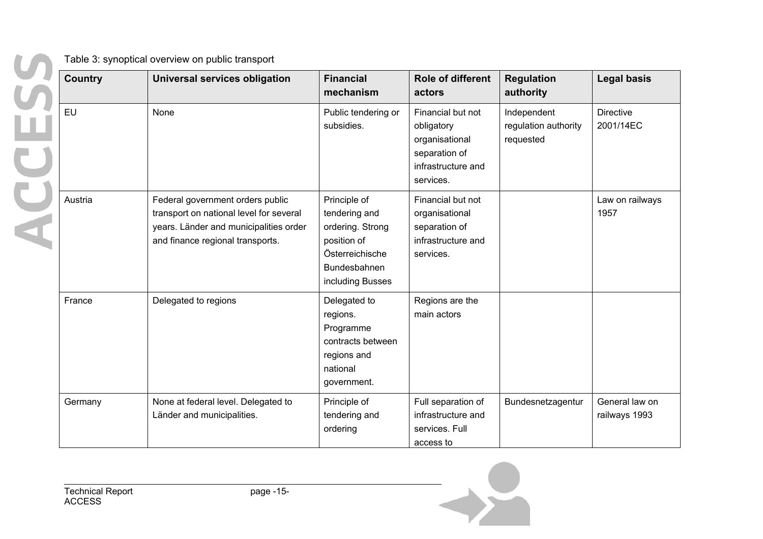ACCES

Table 3: synoptical overview on public transport

| <b>Country</b> | <b>Universal services obligation</b>                                                                                                                      | <b>Financial</b><br>mechanism                                                                                           | <b>Role of different</b><br>actors                                                                    | <b>Regulation</b><br>authority                   | <b>Legal basis</b>              |
|----------------|-----------------------------------------------------------------------------------------------------------------------------------------------------------|-------------------------------------------------------------------------------------------------------------------------|-------------------------------------------------------------------------------------------------------|--------------------------------------------------|---------------------------------|
| <b>EU</b>      | None                                                                                                                                                      | Public tendering or<br>subsidies.                                                                                       | Financial but not<br>obligatory<br>organisational<br>separation of<br>infrastructure and<br>services. | Independent<br>regulation authority<br>requested | <b>Directive</b><br>2001/14EC   |
| Austria        | Federal government orders public<br>transport on national level for several<br>years. Länder and municipalities order<br>and finance regional transports. | Principle of<br>tendering and<br>ordering. Strong<br>position of<br>Österreichische<br>Bundesbahnen<br>including Busses | Financial but not<br>organisational<br>separation of<br>infrastructure and<br>services.               |                                                  | Law on railways<br>1957         |
| France         | Delegated to regions                                                                                                                                      | Delegated to<br>regions.<br>Programme<br>contracts between<br>regions and<br>national<br>government.                    | Regions are the<br>main actors                                                                        |                                                  |                                 |
| Germany        | None at federal level. Delegated to<br>Länder and municipalities.                                                                                         | Principle of<br>tendering and<br>ordering                                                                               | Full separation of<br>infrastructure and<br>services. Full<br>access to                               | Bundesnetzagentur                                | General law on<br>railways 1993 |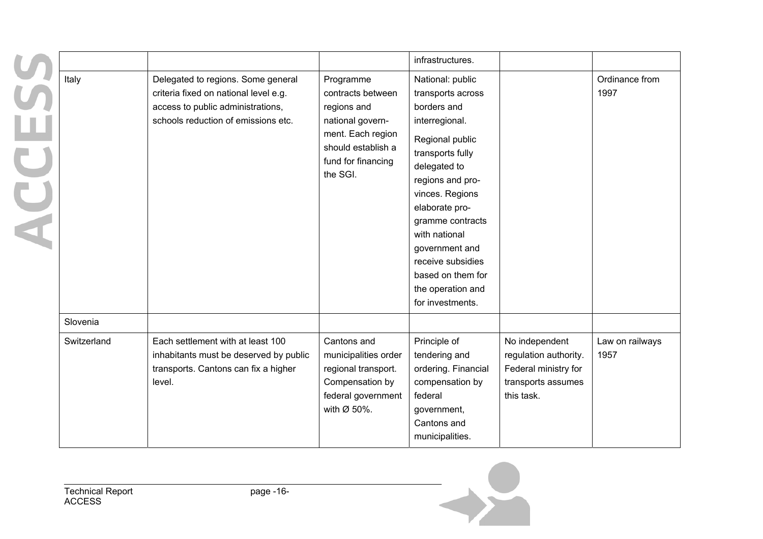|   |             |                                                                                                                                                         |                                                                                                                                                | infrastructures.                                                                                                                                                                                                                                                                                                                 |                                                                                                     |                         |
|---|-------------|---------------------------------------------------------------------------------------------------------------------------------------------------------|------------------------------------------------------------------------------------------------------------------------------------------------|----------------------------------------------------------------------------------------------------------------------------------------------------------------------------------------------------------------------------------------------------------------------------------------------------------------------------------|-----------------------------------------------------------------------------------------------------|-------------------------|
| U | Italy       | Delegated to regions. Some general<br>criteria fixed on national level e.g.<br>access to public administrations,<br>schools reduction of emissions etc. | Programme<br>contracts between<br>regions and<br>national govern-<br>ment. Each region<br>should establish a<br>fund for financing<br>the SGI. | National: public<br>transports across<br>borders and<br>interregional.<br>Regional public<br>transports fully<br>delegated to<br>regions and pro-<br>vinces. Regions<br>elaborate pro-<br>gramme contracts<br>with national<br>government and<br>receive subsidies<br>based on them for<br>the operation and<br>for investments. |                                                                                                     | Ordinance from<br>1997  |
|   | Slovenia    |                                                                                                                                                         |                                                                                                                                                |                                                                                                                                                                                                                                                                                                                                  |                                                                                                     |                         |
|   | Switzerland | Each settlement with at least 100<br>inhabitants must be deserved by public<br>transports. Cantons can fix a higher<br>level.                           | Cantons and<br>municipalities order<br>regional transport.<br>Compensation by<br>federal government<br>with $Ø$ 50%.                           | Principle of<br>tendering and<br>ordering. Financial<br>compensation by<br>federal<br>government,<br>Cantons and<br>municipalities.                                                                                                                                                                                              | No independent<br>regulation authority.<br>Federal ministry for<br>transports assumes<br>this task. | Law on railways<br>1957 |